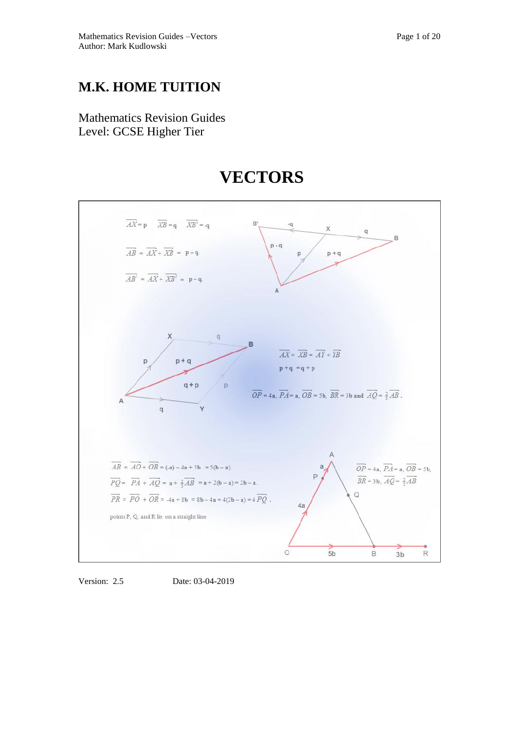Mathematics Revision Guides Level: GCSE Higher Tier



# **VECTORS**

Version: 2.5 Date: 03-04-2019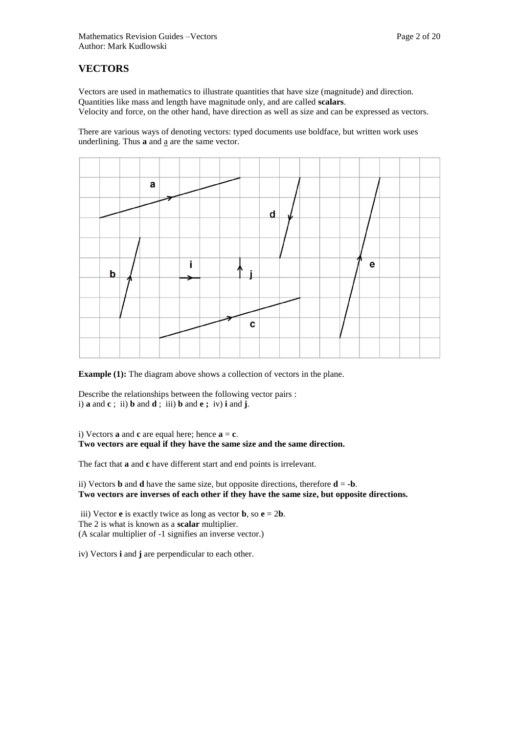## **VECTORS**

Vectors are used in mathematics to illustrate quantities that have size (magnitude) and direction. Quantities like mass and length have magnitude only, and are called **scalars**. Velocity and force, on the other hand, have direction as well as size and can be expressed as vectors.

There are various ways of denoting vectors: typed documents use boldface, but written work uses underlining. Thus **a** and a are the same vector.



**Example (1):** The diagram above shows a collection of vectors in the plane.

Describe the relationships between the following vector pairs : i) **a** and **c** ; ii) **b** and **d** ; iii) **b** and **e ;** iv) **i** and **j**.

i) Vectors **a** and **c** are equal here; hence  $\mathbf{a} = \mathbf{c}$ . **Two vectors are equal if they have the same size and the same direction.** 

The fact that **a** and **c** have different start and end points is irrelevant.

ii) Vectors **b** and **d** have the same size, but opposite directions, therefore  $\mathbf{d} = -\mathbf{b}$ . **Two vectors are inverses of each other if they have the same size, but opposite directions.** 

iii) Vector **e** is exactly twice as long as vector **b**, so  $e = 2b$ . The 2 is what is known as a **scalar** multiplier. (A scalar multiplier of -1 signifies an inverse vector.)

iv) Vectors **i** and **j** are perpendicular to each other.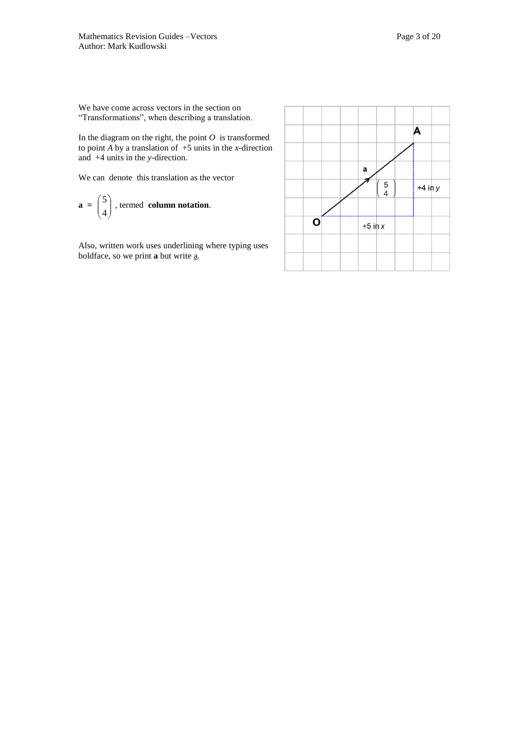We have come across vectors in the section on "Transformations", when describing a translation.

In the diagram on the right, the point  $O$  is transformed to point  $\overrightarrow{A}$  by a translation of  $+5$  units in the *x*-direction and +4 units in the *y-*direction.

We can denote this translation as the vector

$$
\mathbf{a} = \begin{pmatrix} 5 \\ 4 \end{pmatrix}
$$
, termed **column notation**.

Also, written work uses underlining where typing uses boldface, so we print **a** but write a.

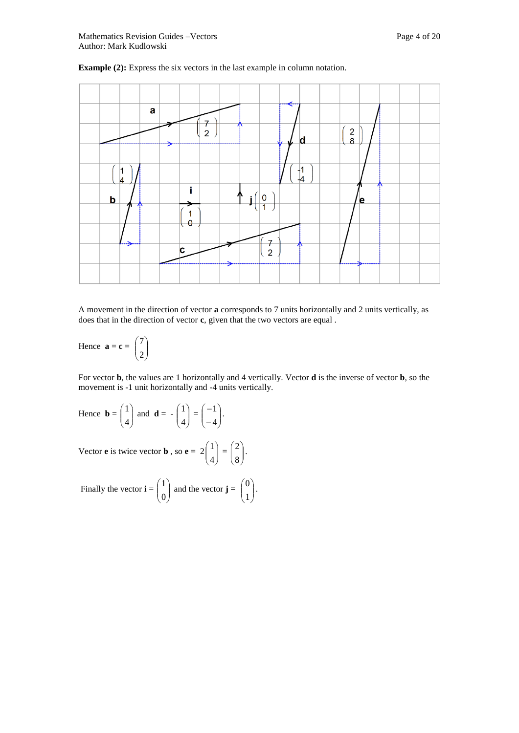



A movement in the direction of vector **a** corresponds to 7 units horizontally and 2 units vertically, as does that in the direction of vector **c**, given that the two vectors are equal .

Hence  $\mathbf{a} = \mathbf{c} = \begin{bmatrix} 7 \\ 2 \end{bmatrix}$ J  $\setminus$  $\mathsf{I}$  $\backslash$ ſ 2 7

For vector **b**, the values are 1 horizontally and 4 vertically. Vector **d** is the inverse of vector **b**, so the movement is -1 unit horizontally and -4 units vertically.

Hence 
$$
\mathbf{b} = \begin{pmatrix} 1 \\ 4 \end{pmatrix}
$$
 and  $\mathbf{d} = -\begin{pmatrix} 1 \\ 4 \end{pmatrix} = \begin{pmatrix} -1 \\ -4 \end{pmatrix}$ .

Vector **e** is twice vector **b**, so **e** =  $2\begin{pmatrix} 1 \\ 4 \end{pmatrix}$ Ι  $\lambda$  $\overline{\phantom{a}}$  $\backslash$ ſ 4  $\begin{pmatrix} 1 \\ 4 \end{pmatrix} = \begin{pmatrix} 2 \\ 8 \end{pmatrix}$ Ι  $\lambda$  $\overline{\phantom{a}}$  $\setminus$ ſ 8 2 .

Finally the vector  $\mathbf{i} = \begin{bmatrix} 1 \\ 0 \end{bmatrix}$ J  $\lambda$  $\overline{\phantom{a}}$  $\setminus$ ſ 0  $\begin{pmatrix} 1 \\ 0 \end{pmatrix}$  and the vector **j** =  $\begin{pmatrix} 0 \\ 1 \end{pmatrix}$ J  $\setminus$  $\overline{\phantom{a}}$  $\overline{\mathcal{L}}$ ſ 1  $\left\vert 0\right\rangle$ .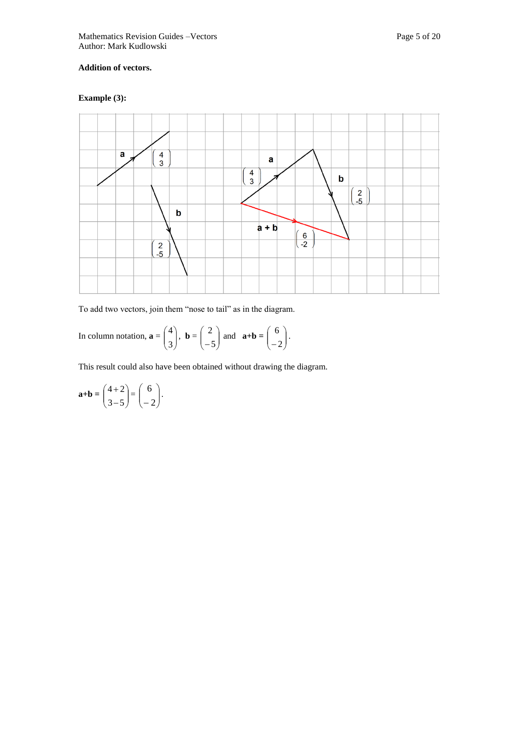#### **Addition of vectors.**

#### **Example (3):**



To add two vectors, join them "nose to tail" as in the diagram.

In column notation,  $\mathbf{a} = \begin{bmatrix} 1 \\ 2 \end{bmatrix}$ Ι  $\lambda$  $\overline{\phantom{a}}$  $\backslash$ ſ 3  $\begin{pmatrix} 4 \\ 3 \end{pmatrix}$ , **b** =  $\begin{pmatrix} 2 \\ -5 \end{pmatrix}$ J  $\setminus$  $\overline{\phantom{a}}$  $\overline{\mathcal{L}}$ ſ  $-5$  $\begin{pmatrix} 2 \\ -5 \end{pmatrix}$  and  $\mathbf{a} + \mathbf{b} = \begin{pmatrix} 6 \\ -2 \end{pmatrix}$ Ј  $\setminus$  $\overline{\phantom{a}}$  $\backslash$ ſ  $-2$  $6$  ).

This result could also have been obtained without drawing the diagram.

$$
\mathbf{a}+\mathbf{b} = \begin{pmatrix} 4+2 \\ 3-5 \end{pmatrix} = \begin{pmatrix} 6 \\ -2 \end{pmatrix}.
$$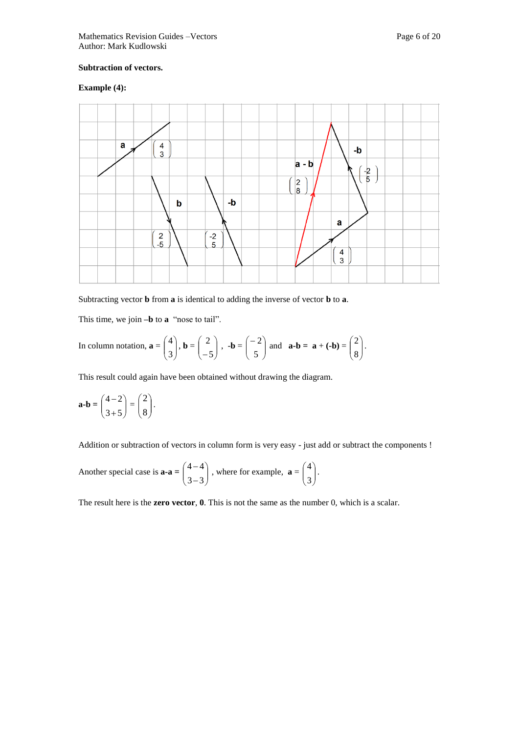#### **Subtraction of vectors.**

#### **Example (4):**



Subtracting vector **b** from **a** is identical to adding the inverse of vector **b** to **a**.

This time, we join **–b** to **a** "nose to tail".

In column notation, 
$$
\mathbf{a} = \begin{pmatrix} 4 \\ 3 \end{pmatrix}
$$
,  $\mathbf{b} = \begin{pmatrix} 2 \\ -5 \end{pmatrix}$ ,  $-\mathbf{b} = \begin{pmatrix} -2 \\ 5 \end{pmatrix}$  and  $\mathbf{a} \cdot \mathbf{b} = \mathbf{a} + (-\mathbf{b}) = \begin{pmatrix} 2 \\ 8 \end{pmatrix}$ .

This result could again have been obtained without drawing the diagram.

$$
\mathbf{a} \cdot \mathbf{b} = \begin{pmatrix} 4-2 \\ 3+5 \end{pmatrix} = \begin{pmatrix} 2 \\ 8 \end{pmatrix}.
$$

Addition or subtraction of vectors in column form is very easy - just add or subtract the components !

Another special case is 
$$
\mathbf{a} \cdot \mathbf{a} = \begin{pmatrix} 4-4 \\ 3-3 \end{pmatrix}
$$
, where for example,  $\mathbf{a} = \begin{pmatrix} 4 \\ 3 \end{pmatrix}$ .

The result here is the **zero vector**, **0**. This is not the same as the number 0, which is a scalar.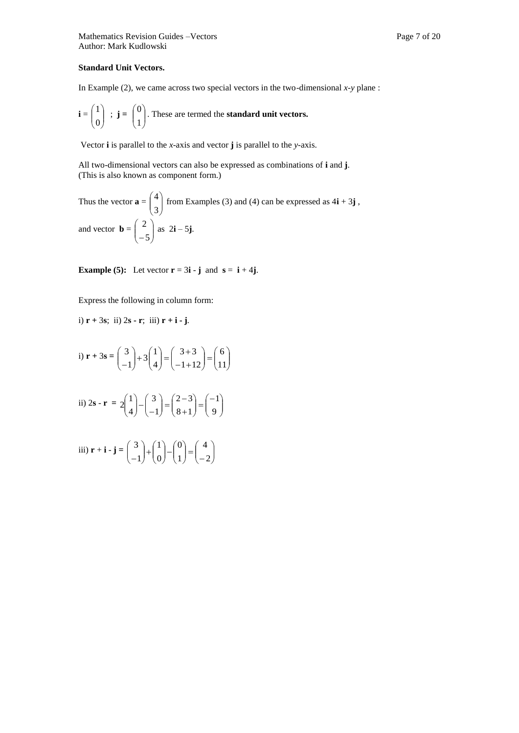#### **Standard Unit Vectors.**

In Example (2), we came across two special vectors in the two-dimensional *x-y* plane :

$$
\mathbf{i} = \begin{pmatrix} 1 \\ 0 \end{pmatrix}
$$
;  $\mathbf{j} = \begin{pmatrix} 0 \\ 1 \end{pmatrix}$ . These are termed the **standard unit vectors.**

Vector **i** is parallel to the *x*-axis and vector **j** is parallel to the *y*-axis.

All two-dimensional vectors can also be expressed as combinations of **i** and **j**. (This is also known as component form.)

Thus the vector 
$$
\mathbf{a} = \begin{pmatrix} 4 \\ 3 \end{pmatrix}
$$
 from Examples (3) and (4) can be expressed as  $4\mathbf{i} + 3\mathbf{j}$ ,  
and vector  $\mathbf{b} = \begin{pmatrix} 2 \\ -5 \end{pmatrix}$  as  $2\mathbf{i} - 5\mathbf{j}$ .

**Example (5):** Let vector  $\mathbf{r} = 3\mathbf{i} \cdot \mathbf{j}$  and  $\mathbf{s} = \mathbf{i} + 4\mathbf{j}$ .

Express the following in column form:

i) 
$$
\mathbf{r} + 3\mathbf{s}
$$
; ii)  $2\mathbf{s} - \mathbf{r}$ ; iii)  $\mathbf{r} + \mathbf{i} - \mathbf{j}$ .

i) 
$$
\mathbf{r} + 3\mathbf{s} = \begin{pmatrix} 3 \\ -1 \end{pmatrix} + 3\begin{pmatrix} 1 \\ 4 \end{pmatrix} = \begin{pmatrix} 3+3 \\ -1+12 \end{pmatrix} = \begin{pmatrix} 6 \\ 11 \end{pmatrix}
$$
  
\nii)  $2\mathbf{s} - \mathbf{r} = 2\begin{pmatrix} 1 \\ 4 \end{pmatrix} - \begin{pmatrix} 3 \\ -1 \end{pmatrix} = \begin{pmatrix} 2-3 \\ 8+1 \end{pmatrix} = \begin{pmatrix} -1 \\ 9 \end{pmatrix}$   
\niii)  $\mathbf{r} + \mathbf{i} - \mathbf{j} = \begin{pmatrix} 3 \\ -1 \end{pmatrix} + \begin{pmatrix} 1 \\ 0 \end{pmatrix} - \begin{pmatrix} 0 \\ 1 \end{pmatrix} = \begin{pmatrix} 4 \\ -2 \end{pmatrix}$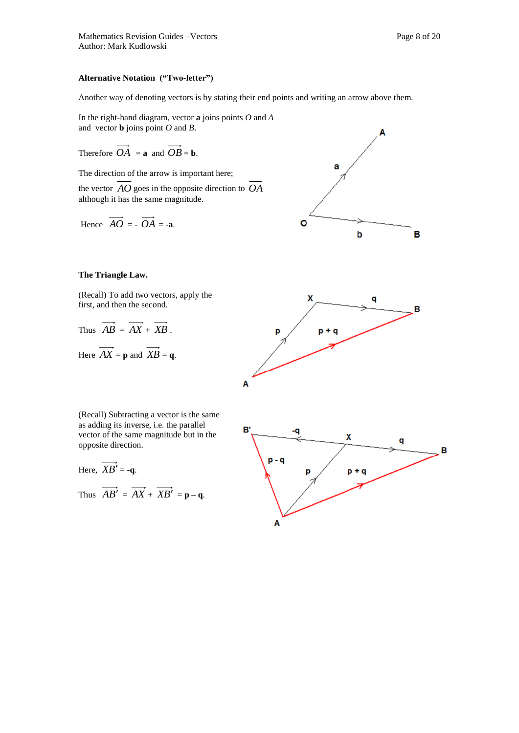#### **Alternative Notation ("Two-letter")**

Another way of denoting vectors is by stating their end points and writing an arrow above them.

In the right-hand diagram, vector **a** joins points *O* and *A* and vector **b** joins point *O* and *B*.

Therefore  $OA = \mathbf{a}$  and  $OB = \mathbf{b}$ .

The direction of the arrow is important here; the vector *AO* goes in the opposite direction to *OA* although it has the same magnitude.

Hence 
$$
\overrightarrow{AO} = -\overrightarrow{OA} = -a
$$
.

#### **The Triangle Law.**

(Recall) To add two vectors, apply the first, and then the second.

Thus 
$$
\overrightarrow{AB} = \overrightarrow{AX} + \overrightarrow{XB}
$$
.  
Here  $\overrightarrow{AX} = \mathbf{p}$  and  $\overrightarrow{XB} = \mathbf{q}$ .



a

b

 $\circ$ 

(Recall) Subtracting a vector is the same as adding its inverse, i.e. the parallel vector of the same magnitude but in the opposite direction.

Here, 
$$
\overrightarrow{XB'} = -q
$$
.

Thus  $AB' = AX + XB' = p - q$ .



B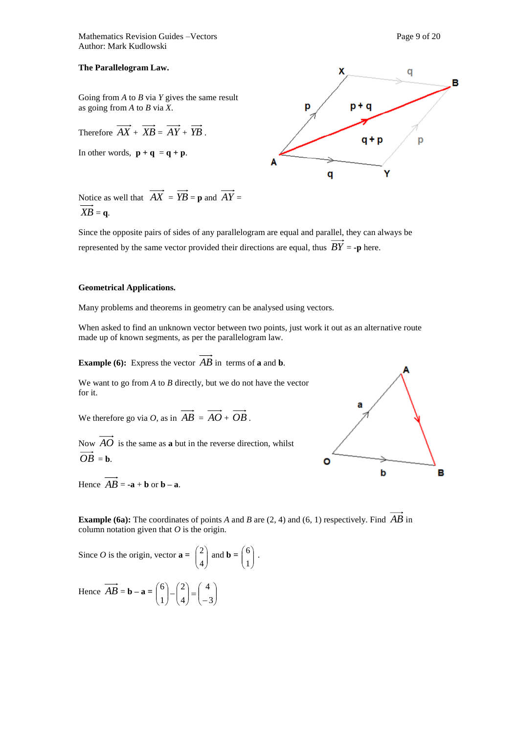Mathematics Revision Guides –Vectors **Page 9** of 20 Author: Mark Kudlowski

#### **The Parallelogram Law.**

Going from *A* to *B* via *Y* gives the same result as going from *A* to *B* via *X*.

Therefore 
$$
\overrightarrow{AX} + \overrightarrow{XB} = \overrightarrow{AY} + \overrightarrow{YB}
$$
.

In other words,  $\mathbf{p} + \mathbf{q} = \mathbf{q} + \mathbf{p}$ .



Notice as well that  $AX = YB = p$  and  $AY =$  $\overrightarrow{XB} = q$ .

Since the opposite pairs of sides of any parallelogram are equal and parallel, they can always be represented by the same vector provided their directions are equal, thus  $BY = -p$  here.

#### **Geometrical Applications.**

Many problems and theorems in geometry can be analysed using vectors.

When asked to find an unknown vector between two points, just work it out as an alternative route made up of known segments, as per the parallelogram law.

**Example (6):** Express the vector  $\overrightarrow{AB}$  in terms of **a** and **b**.

We want to go from *A* to *B* directly, but we do not have the vector for it.

We therefore go via *O*, as in  $AB = AO + OB$ .

Now *AO* is the same as **a** but in the reverse direction, whilst  $\overrightarrow{OB}$  = **b**.

Hence  $AB = -a + b$  or  $b - a$ .



**Example (6a):** The coordinates of points *A* and *B* are (2, 4) and (6, 1) respectively. Find *AB* in column notation given that *O* is the origin.

Since *O* is the origin, vector 
$$
\mathbf{a} = \begin{pmatrix} 2 \\ 4 \end{pmatrix}
$$
 and  $\mathbf{b} = \begin{pmatrix} 6 \\ 1 \end{pmatrix}$ .  
\nHence  $\overrightarrow{AB} = \mathbf{b} - \mathbf{a} = \begin{pmatrix} 6 \\ 1 \end{pmatrix} - \begin{pmatrix} 2 \\ 4 \end{pmatrix} = \begin{pmatrix} 4 \\ -3 \end{pmatrix}$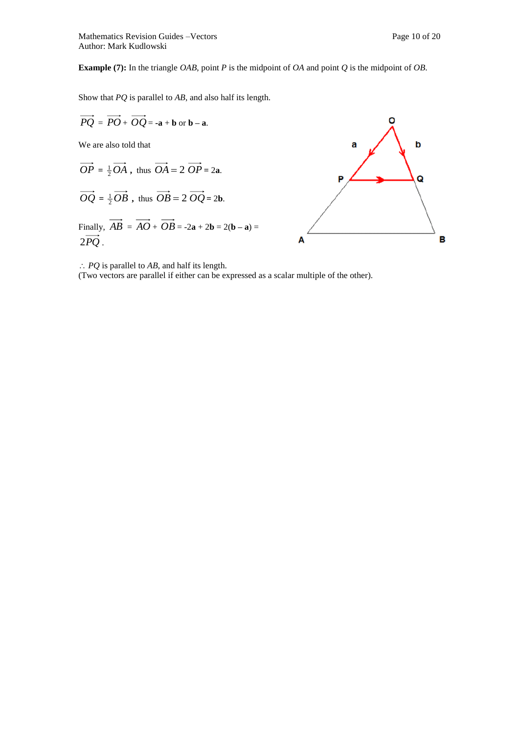**Example (7):** In the triangle *OAB*, point *P* is the midpoint of *OA* and point *Q* is the midpoint of *OB*.

Show that *PQ* is parallel to *AB*, and also half its length.



*PQ* is parallel to *AB*, and half its length.

(Two vectors are parallel if either can be expressed as a scalar multiple of the other).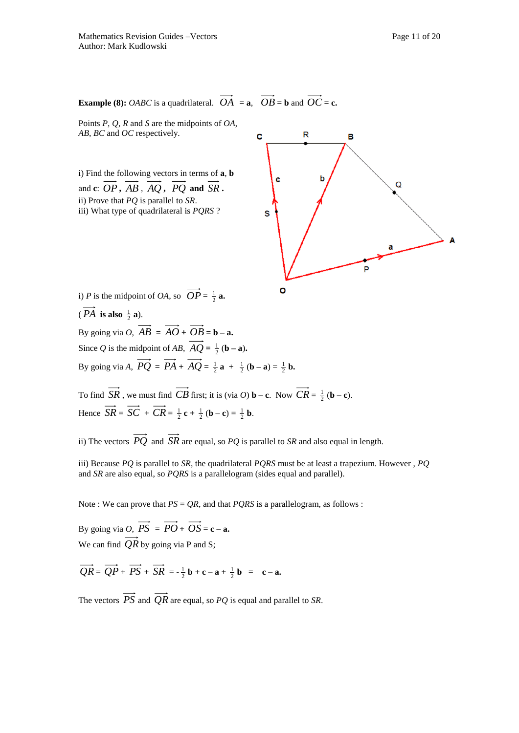**Example (8):** *OABC* is a quadrilateral.  $OA = a$ ,  $OB = b$  and  $OC = c$ .

Points *P*, *Q*, *R* and *S* are the midpoints of *OA*, *AB*, *BC* and *OC* respectively.

i) Find the following vectors in terms of **a**, **b** and **c**: *OP* **,** *AB* , *AQ* **,** *PQ* **and**  *SR* **.** ii) Prove that *PQ* is parallel to *SR*. iii) What type of quadrilateral is *PQRS* ?



i) *P* is the midpoint of *OA*, so  $OP = \frac{1}{2}$  **a.** ( $PA$  is also  $\frac{1}{2}$  a). By going via  $O$ ,  $AB = AO + OB = b - a$ .

> Since *Q* is the midpoint of *AB*,  $AQ = \frac{1}{2}$  (**b** – **a**). By going via *A*,  $PQ = PA + AQ = \frac{1}{2}a + \frac{1}{2}(b-a) = \frac{1}{2}b$ .

To find  $SR$ , we must find  $CB$  first; it is (via O) **b** – **c**. Now  $CR = \frac{1}{2}$  (**b** – **c**). Hence  $SR = SC + CR = \frac{1}{2}c + \frac{1}{2}(b - c) = \frac{1}{2}b$ .

ii) The vectors *PQ* and *SR* are equal, so *PQ* is parallel to *SR* and also equal in length.

iii) Because *PQ* is parallel to *SR*, the quadrilateral *PQRS* must be at least a trapezium. However , *PQ* and *SR* are also equal, so *PQRS* is a parallelogram (sides equal and parallel).

Note : We can prove that  $PS = QR$ , and that  $PORS$  is a parallelogram, as follows :

By going via *O*,  $PS = PO + OS = c - a$ . We can find  $QR$  by going via P and S;

 $QR = QP + PS + SR = -\frac{1}{2}b + c - a + \frac{1}{2}b = c - a$ .

The vectors  $PS$  and  $QR$  are equal, so  $PQ$  is equal and parallel to *SR*.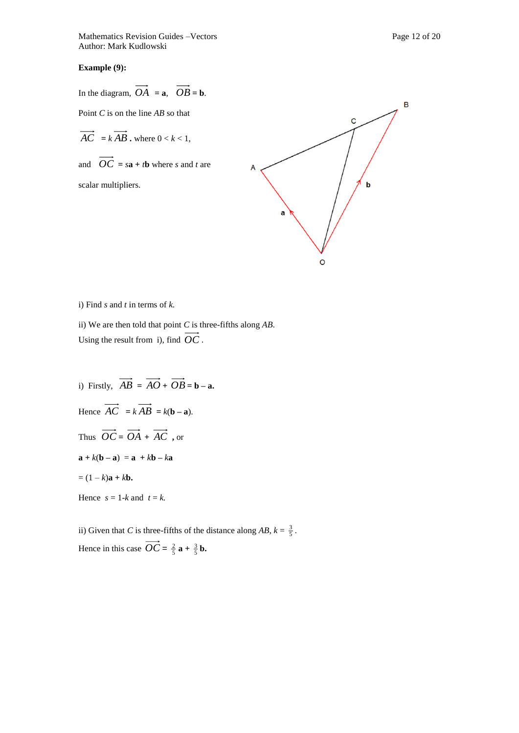Mathematics Revision Guides –Vectors **Page 12 of 20** Page 12 of 20 Author: Mark Kudlowski

#### **Example (9):**

In the diagram,  $OA = a$ ,  $OB = b$ .

Point *C* is on the line *AB* so that

 $AC = kAB$ . where  $0 < k < 1$ ,

and  $OC = sa + tb$  where *s* and *t* are

scalar multipliers.



i) Find *s* and *t* in terms of *k.* 

ii) We are then told that point *C* is three-fifths along *AB*. Using the result from i), find *OC* .

i) Firstly,  $AB = AO + OB = b - a$ . Hence  $AC = kAB = k(b - a)$ . Thus  $OC = OA + AC$ , or  $a + k(b - a) = a + kb - ka$  $= (1 - k)\mathbf{a} + k\mathbf{b}$ . Hence  $s = 1-k$  and  $t = k$ .

ii) Given that *C* is three-fifths of the distance along  $AB$ ,  $k = \frac{3}{5}$ . Hence in this case  $OC = \frac{2}{5} \mathbf{a} + \frac{3}{5} \mathbf{b}$ .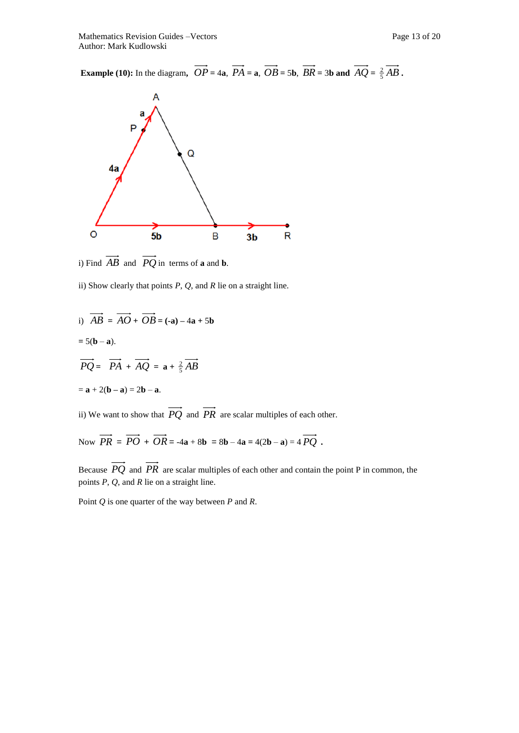**Example (10):** In the diagram,  $OP = 4a$ ,  $PA = a$ ,  $OB = 5b$ ,  $BR = 3b$  and  $AQ = \frac{2}{5}AB$ .



i) Find  $\overline{AB}$  and  $\overline{PQ}$  in terms of **a** and **b**.

ii) Show clearly that points *P*, *Q*, and *R* lie on a straight line.

i) 
$$
\overrightarrow{AB} = \overrightarrow{AO} + \overrightarrow{OB} = (-a) - 4a + 5b
$$

 $= 5(b - a).$ 

$$
\overrightarrow{PQ} = \overrightarrow{PA} + \overrightarrow{AQ} = \mathbf{a} + \frac{2}{5}\overrightarrow{AB}
$$

$$
= \mathbf{a} + 2(\mathbf{b} - \mathbf{a}) = 2\mathbf{b} - \mathbf{a}.
$$

ii) We want to show that  $PQ$  and  $PR$  are scalar multiples of each other.

Now  $PR = PO + OR = -4a + 8b = 8b - 4a = 4(2b - a) = 4 PQ$ .

Because *PQ* and *PR* are scalar multiples of each other and contain the point P in common, the points *P*, *Q*, and *R* lie on a straight line.

Point *Q* is one quarter of the way between *P* and *R*.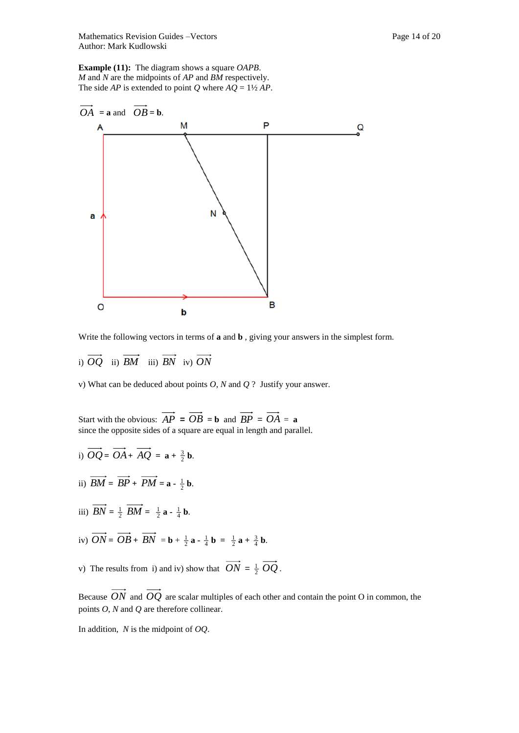Mathematics Revision Guides –Vectors **Page 14 of 20** Page 14 of 20 Author: Mark Kudlowski

**Example (11):** The diagram shows a square *OAPB*. *M* and *N* are the midpoints of *AP* and *BM* respectively. The side *AP* is extended to point *Q* where  $AQ = 1\frac{1}{2}AP$ .



Write the following vectors in terms of **a** and **b** , giving your answers in the simplest form.

i) *OQ* ii) *BM* iii) *BN* iv) *ON*

v) What can be deduced about points *O*, *N* and *Q* ? Justify your answer.

Start with the obvious:  $AP = OB = b$  and  $BP = OA = a$ since the opposite sides of a square are equal in length and parallel.

- i)  $OQ = OA + AQ = \mathbf{a} + \frac{3}{2}\mathbf{b}$ . ii)  $BM = BP + PM = a - \frac{1}{2}b$ . iii)  $BN = \frac{1}{2} BM = \frac{1}{2} \mathbf{a} - \frac{1}{4} \mathbf{b}$ . iv)  $ON = OB + BN = b + \frac{1}{2}a - \frac{1}{4}b = \frac{1}{2}a + \frac{3}{4}b$ .
- v) The results from i) and iv) show that  $ON = \frac{1}{2} OQ$ .

Because *ON* and *OQ* are scalar multiples of each other and contain the point O in common, the points *O*, *N* and *Q* are therefore collinear.

In addition, *N* is the midpoint of *OQ*.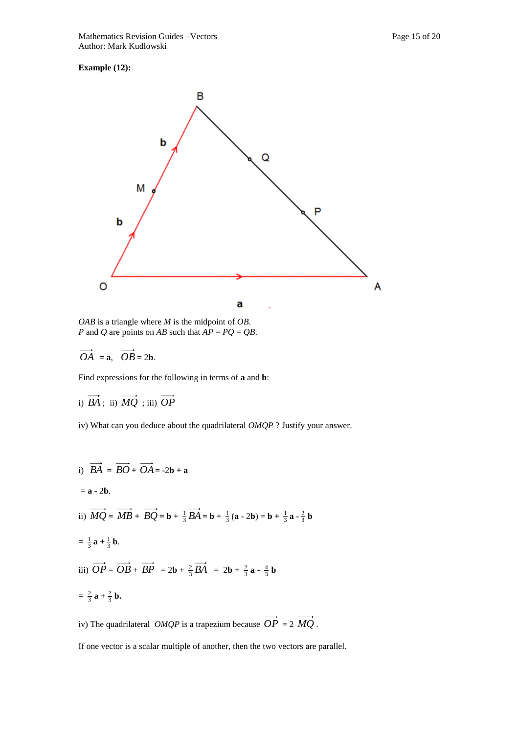### **Example (12):**



*OAB* is a triangle where *M* is the midpoint of *OB*. *P* and *Q* are points on *AB* such that  $AP = PQ = QB$ .

$$
\overrightarrow{OA} = \mathbf{a}, \quad \overrightarrow{OB} = 2\mathbf{b}.
$$

Find expressions for the following in terms of **a** and **b**:

i) 
$$
BA
$$
; ii)  $MQ$ ; iii)  $OP$ 

iv) What can you deduce about the quadrilateral *OMQP* ? Justify your answer.

i) 
$$
\overrightarrow{BA} = \overrightarrow{BO} + \overrightarrow{OA} = -2\mathbf{b} + \mathbf{a}
$$
  
\n=  $\mathbf{a} - 2\mathbf{b}$ .  
\nii)  $\overrightarrow{MQ} = \overrightarrow{MB} + \overrightarrow{BQ} = \mathbf{b} + \frac{1}{3}\overrightarrow{BA} = \mathbf{b} + \frac{1}{3}(\mathbf{a} - 2\mathbf{b}) = \mathbf{b} + \frac{1}{3}\mathbf{a} - \frac{2}{3}\mathbf{b}$   
\n=  $\frac{1}{3}\mathbf{a} + \frac{1}{3}\mathbf{b}$ .  
\niii)  $\overrightarrow{OP} = \overrightarrow{OB} + \overrightarrow{BP} = 2\mathbf{b} + \frac{2}{3}\overrightarrow{BA} = 2\mathbf{b} + \frac{2}{3}\mathbf{a} - \frac{4}{3}\mathbf{b}$   
\n=  $\frac{2}{3}\mathbf{a} + \frac{2}{3}\mathbf{b}$ .

iv) The quadrilateral  $OMQP$  is a trapezium because  $OP = 2 MQ$ .

If one vector is a scalar multiple of another, then the two vectors are parallel.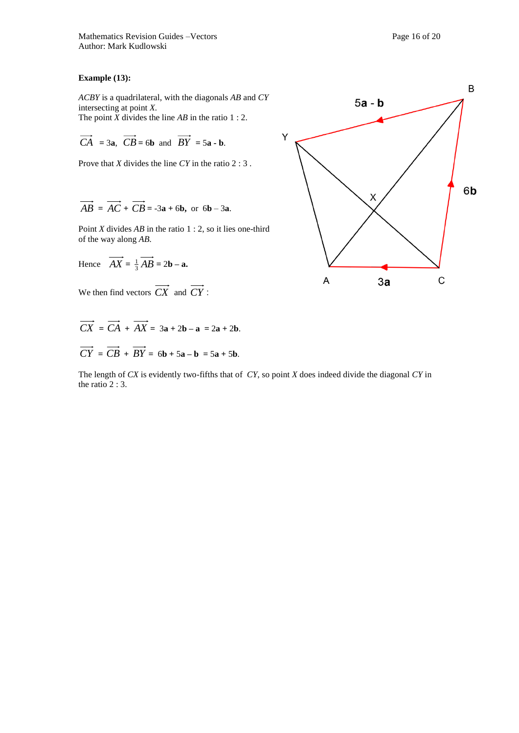#### **Example (13):**

*ACBY* is a quadrilateral, with the diagonals *AB* and *CY*  intersecting at point *X.*  The point *X* divides the line *AB* in the ratio 1 : 2.

$$
\overrightarrow{CA} = 3a, \ \overrightarrow{CB} = 6b \ \text{and} \ \overrightarrow{BY} = 5a - b.
$$

Prove that *X* divides the line *CY* in the ratio 2 : 3 .

$$
\overrightarrow{AB} = \overrightarrow{AC} + \overrightarrow{CB} = -3a + 6b, \text{ or } 6b - 3a.
$$

Point *X* divides *AB* in the ratio 1 : 2, so it lies one-third of the way along *AB.* 

Hence 
$$
\overrightarrow{AX} = \frac{1}{3}\overrightarrow{AB} = 2\mathbf{b} - \mathbf{a}
$$
.

We then find vectors *CX* and *CY* :

 $CX = CA + AX = 3a + 2b - a = 2a + 2b$ .  $CY = CB + BY = 6b + 5a - b = 5a + 5b$ .

The length of *CX* is evidently two-fifths that of *CY*, so point *X* does indeed divide the diagonal *CY* in the ratio 2 : 3.

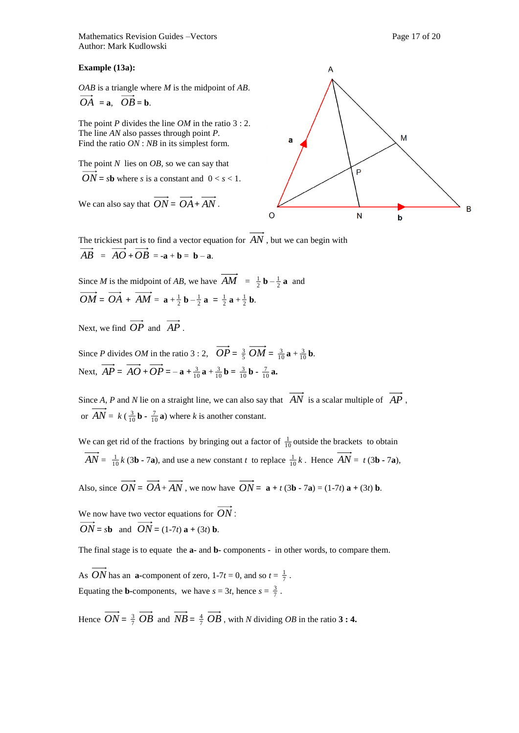**Example (13a):**

*OAB* is a triangle where *M* is the midpoint of *AB*.  $OA = \mathbf{a}, \quad OB = \mathbf{b}.$ 

The point *P* divides the line *OM* in the ratio 3 : 2. The line *AN* also passes through point *P.*  Find the ratio *ON* : *NB* in its simplest form.

The point *N* lies on *OB,* so we can say that  $ON = sb$  where *s* is a constant and  $0 < s < 1$ .

We can also say that  $ON = OA + AN$ .



The trickiest part is to find a vector equation for *AN* , but we can begin with  $AB = AO + OB = -a + b = b - a$ .

Since *M* is the midpoint of *AB*, we have  $AM = \frac{1}{2} \mathbf{b} - \frac{1}{2} \mathbf{a}$  and  $OM = OA + AM = \mathbf{a} + \frac{1}{2}\mathbf{b} - \frac{1}{2}\mathbf{a} = \frac{1}{2}\mathbf{a} + \frac{1}{2}\mathbf{b}.$ 

Next, we find *OP* and *AP* .

Since *P* divides *OM* in the ratio 3 : 2,  $OP = \frac{3}{5} OM = \frac{3}{10} a + \frac{3}{10} b$ . Next,  $AP = AO + OP = -a + \frac{3}{10}a + \frac{3}{10}b = \frac{3}{10}b - \frac{7}{10}a$ .

Since  $A$ ,  $P$  and  $N$  lie on a straight line, we can also say that  $AN$  is a scalar multiple of  $AP$ , or  $AN = k \left( \frac{3}{10} \mathbf{b} - \frac{7}{10} \mathbf{a} \right)$  where *k* is another constant.

We can get rid of the fractions by bringing out a factor of  $\frac{1}{10}$  outside the brackets to obtain  $AN = \frac{1}{10}k(3\mathbf{b} - 7\mathbf{a})$ , and use a new constant *t* to replace  $\frac{1}{10}k$ . Hence  $AN = t(3\mathbf{b} - 7\mathbf{a})$ ,

Also, since  $ON = OA + AN$ , we now have  $ON = \mathbf{a} + t(3\mathbf{b} - 7\mathbf{a}) = (1-7t)\mathbf{a} + (3t)\mathbf{b}$ .

We now have two vector equations for *ON* :  $ON = sb$  and  $ON = (1-7t) a + (3t) b$ .

The final stage is to equate the **a-** and **b-** components - in other words, to compare them.

As *ON* has an **a**-component of zero,  $1-7t = 0$ , and so  $t = \frac{1}{7}$ . Equating the **b**-components, we have  $s = 3t$ , hence  $s = \frac{3}{7}$ .

Hence  $ON = \frac{3}{7}$   $OB$  and  $NB = \frac{4}{7}$   $OB$ , with *N* dividing  $OB$  in the ratio **3 : 4.**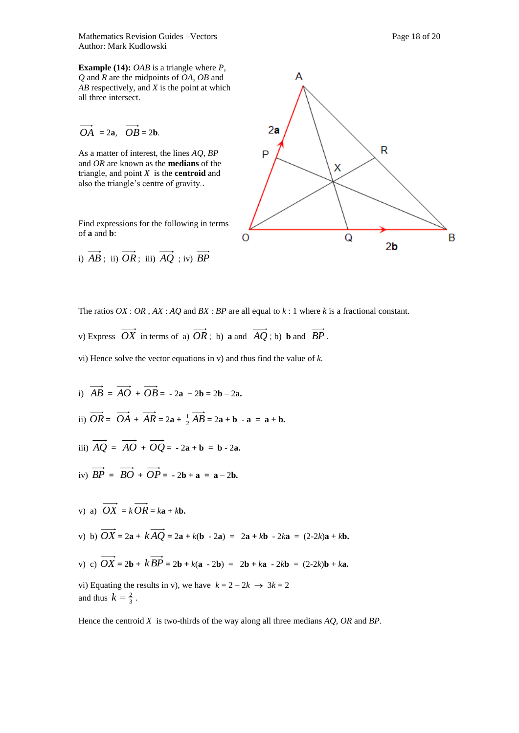Mathematics Revision Guides –Vectors **Page 18 of 20** Page 18 of 20 Author: Mark Kudlowski

**Example (14):** *OAB* is a triangle where *P*, *Q* and *R* are the midpoints of *OA*, *OB* and *AB* respectively, and *X* is the point at which all three intersect.

$$
\overrightarrow{OA} = 2a, \overrightarrow{OB} = 2b.
$$

As a matter of interest, the lines *AQ*, *BP* and *OR* are known as the **medians** of the triangle, and point *X* is the **centroid** and also the triangle's centre of gravity..

Find expressions for the following in terms of **a** and **b**:

i)  $AB$ ; ii)  $OR$ ; iii)  $AQ$ ; iv)  $BP$ 



The ratios  $OX: OR$ ,  $AX: AQ$  and  $BX: BP$  are all equal to  $k: 1$  where  $k$  is a fractional constant.

v) Express 
$$
\overrightarrow{OX}
$$
 in terms of a)  $\overrightarrow{OR}$ ; b) **a** and  $\overrightarrow{AQ}$ ; b) **b** and  $\overrightarrow{BP}$ .

vi) Hence solve the vector equations in v) and thus find the value of *k.* 

i)  $AB = AO + OB = -2a + 2b = 2b - 2a$ . ii)  $OR = OA + AR = 2a + \frac{1}{2}AB = 2a + b - a = a + b.$ iii)  $AQ = AO + OQ = -2a + b = b - 2a$ . iv)  $BP = BO + OP = -2b + a = a - 2b$ . v) a)  $OX = kOR = ka + kb$ . *v*) b)  $OX = 2a + kAQ = 2a + k(b - 2a) = 2a + kb - 2ka = (2-2k)a + kb$ . v) c)  $OX = 2\mathbf{b} + kBP = 2\mathbf{b} + k(\mathbf{a} - 2\mathbf{b}) = 2\mathbf{b} + k\mathbf{a} - 2k\mathbf{b} = (2-2k)\mathbf{b} + k\mathbf{a}$ . vi) Equating the results in v), we have  $k = 2 - 2k \rightarrow 3k = 2$ and thus  $k = \frac{2}{3}$ .

Hence the centroid *X* is two-thirds of the way along all three medians *AQ*, *OR* and *BP*.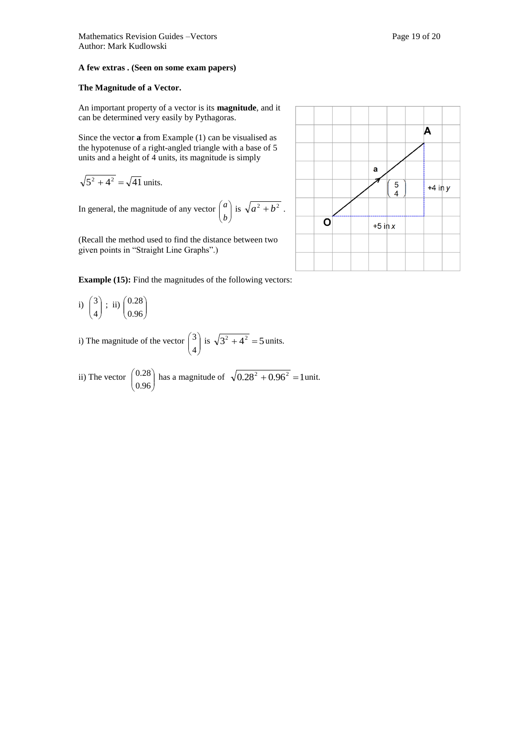#### **A few extras . (Seen on some exam papers)**

#### **The Magnitude of a Vector.**

An important property of a vector is its **magnitude**, and it can be determined very easily by Pythagoras.

Since the vector **a** from Example (1) can be visualised as the hypotenuse of a right-angled triangle with a base of 5 units and a height of 4 units, its magnitude is simply

$$
\sqrt{5^2 + 4^2} = \sqrt{41}
$$
 units.

In general, the magnitude of any vector  $\begin{bmatrix} a \\ b \end{bmatrix}$ 

(Recall the method used to find the distance between two given points in "Straight Line Graphs".)

J  $\lambda$  $\overline{\phantom{a}}$  $\backslash$ ſ *b*

**Example (15):** Find the magnitudes of the following vectors:

i)  $\begin{bmatrix} 3 \\ 4 \end{bmatrix}$ J  $\lambda$  $\overline{\phantom{a}}$ L ſ 4  $\binom{3}{4}$ ; ii)  $\binom{0.28}{0.96}$ J  $\lambda$  $\mathsf{I}$  $\setminus$ ſ 0.96 0.28

i) The magnitude of the vector  $\begin{bmatrix} 3 \\ 4 \end{bmatrix}$ J  $\setminus$  $\overline{\phantom{a}}$  $\overline{\mathcal{L}}$ ſ 4  $3 \overline{\smash)$  is  $\sqrt{3^2 + 4^2} = 5 \text{ units.}$ 

ii) The vector  $\begin{bmatrix} 0.28 \\ 0.96 \end{bmatrix}$ Ι  $\setminus$  $\overline{\phantom{a}}$ L ſ 0.96  $(0.28)$  has a magnitude of  $\sqrt{0.28^2 + 0.96^2} = 1$  unit.